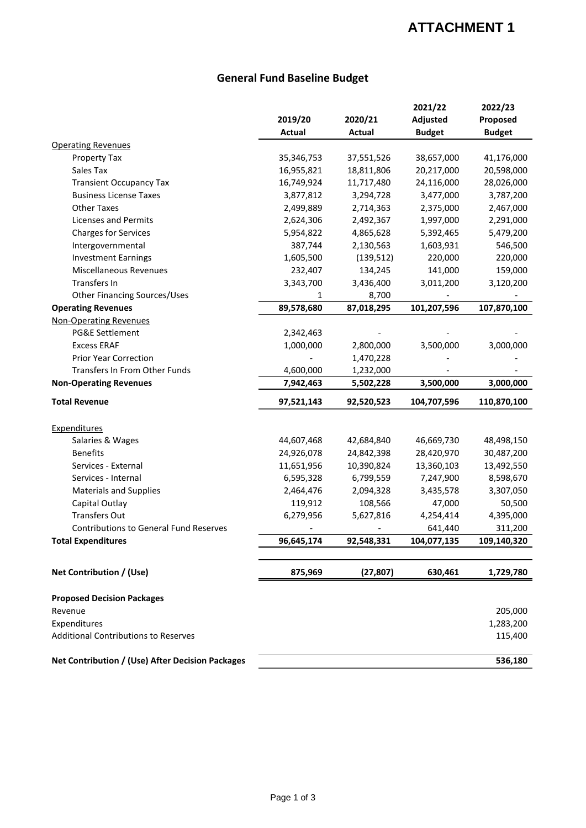## **ATTACHMENT 1**

## **General Fund Baseline Budget**

|                                                  | 2019/20<br>Actual | 2020/21<br>Actual | 2021/22<br>Adjusted<br><b>Budget</b> | 2022/23<br>Proposed<br><b>Budget</b> |
|--------------------------------------------------|-------------------|-------------------|--------------------------------------|--------------------------------------|
| <b>Operating Revenues</b>                        |                   |                   |                                      |                                      |
| Property Tax                                     | 35,346,753        | 37,551,526        | 38,657,000                           | 41,176,000                           |
| Sales Tax                                        | 16,955,821        | 18,811,806        | 20,217,000                           | 20,598,000                           |
| <b>Transient Occupancy Tax</b>                   | 16,749,924        | 11,717,480        | 24,116,000                           | 28,026,000                           |
| <b>Business License Taxes</b>                    | 3,877,812         | 3,294,728         | 3,477,000                            | 3,787,200                            |
| <b>Other Taxes</b>                               | 2,499,889         | 2,714,363         | 2,375,000                            | 2,467,000                            |
| Licenses and Permits                             | 2,624,306         | 2,492,367         | 1,997,000                            | 2,291,000                            |
| <b>Charges for Services</b>                      | 5,954,822         | 4,865,628         | 5,392,465                            | 5,479,200                            |
| Intergovernmental                                | 387,744           | 2,130,563         | 1,603,931                            | 546,500                              |
| <b>Investment Earnings</b>                       | 1,605,500         | (139, 512)        | 220,000                              | 220,000                              |
| <b>Miscellaneous Revenues</b>                    | 232,407           | 134,245           | 141,000                              | 159,000                              |
| Transfers In                                     | 3,343,700         | 3,436,400         | 3,011,200                            | 3,120,200                            |
| <b>Other Financing Sources/Uses</b>              | 1                 | 8,700             |                                      |                                      |
| <b>Operating Revenues</b>                        | 89,578,680        | 87,018,295        | 101,207,596                          | 107,870,100                          |
| <b>Non-Operating Revenues</b>                    |                   |                   |                                      |                                      |
| PG&E Settlement                                  | 2,342,463         |                   |                                      |                                      |
| <b>Excess ERAF</b>                               | 1,000,000         | 2,800,000         | 3,500,000                            | 3,000,000                            |
| <b>Prior Year Correction</b>                     |                   | 1,470,228         |                                      |                                      |
| <b>Transfers In From Other Funds</b>             | 4,600,000         | 1,232,000         |                                      |                                      |
| <b>Non-Operating Revenues</b>                    | 7,942,463         | 5,502,228         | 3,500,000                            | 3,000,000                            |
| <b>Total Revenue</b>                             | 97,521,143        | 92,520,523        | 104,707,596                          | 110,870,100                          |
| <b>Expenditures</b>                              |                   |                   |                                      |                                      |
| Salaries & Wages                                 | 44,607,468        | 42,684,840        | 46,669,730                           | 48,498,150                           |
| <b>Benefits</b>                                  | 24,926,078        | 24,842,398        | 28,420,970                           | 30,487,200                           |
| Services - External                              | 11,651,956        | 10,390,824        | 13,360,103                           | 13,492,550                           |
| Services - Internal                              | 6,595,328         | 6,799,559         | 7,247,900                            | 8,598,670                            |
| <b>Materials and Supplies</b>                    | 2,464,476         | 2,094,328         | 3,435,578                            | 3,307,050                            |
| Capital Outlay                                   | 119,912           | 108,566           | 47,000                               | 50,500                               |
| <b>Transfers Out</b>                             | 6,279,956         | 5,627,816         | 4,254,414                            | 4,395,000                            |
| <b>Contributions to General Fund Reserves</b>    |                   |                   | 641,440                              | 311,200                              |
| <b>Total Expenditures</b>                        | 96,645,174        | 92,548,331        | 104,077,135                          | 109,140,320                          |
| Net Contribution / (Use)                         | 875,969           | (27, 807)         | 630,461                              | 1,729,780                            |
| <b>Proposed Decision Packages</b>                |                   |                   |                                      |                                      |
| Revenue                                          |                   |                   |                                      | 205,000                              |
| Expenditures                                     |                   |                   |                                      | 1,283,200                            |
| <b>Additional Contributions to Reserves</b>      |                   |                   |                                      | 115,400                              |
| Net Contribution / (Use) After Decision Packages |                   |                   |                                      | 536,180                              |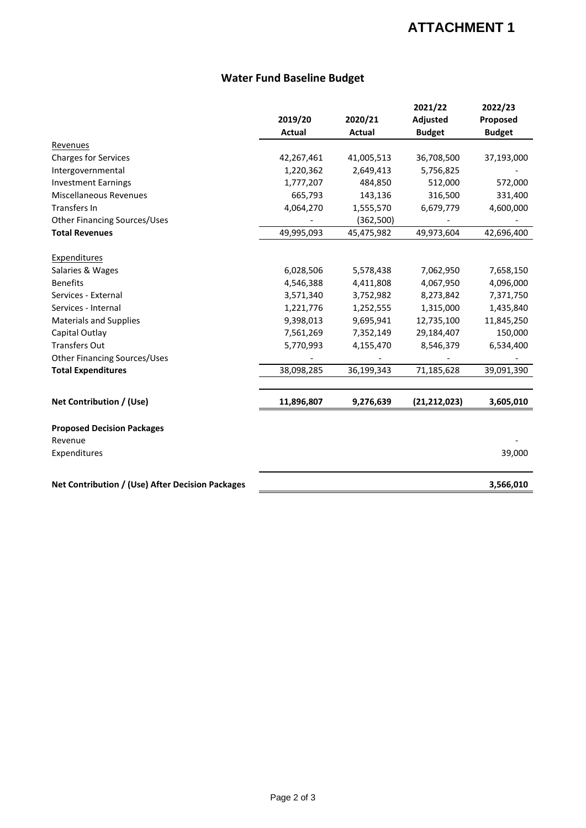## **ATTACHMENT 1**

#### **Water Fund Baseline Budget**

|                                                  |               |               | 2021/22        | 2022/23       |
|--------------------------------------------------|---------------|---------------|----------------|---------------|
|                                                  | 2019/20       | 2020/21       | Adjusted       | Proposed      |
|                                                  | <b>Actual</b> | <b>Actual</b> | <b>Budget</b>  | <b>Budget</b> |
| Revenues                                         |               |               |                |               |
| <b>Charges for Services</b>                      | 42,267,461    | 41,005,513    | 36,708,500     | 37,193,000    |
| Intergovernmental                                | 1,220,362     | 2,649,413     | 5,756,825      |               |
| <b>Investment Earnings</b>                       | 1,777,207     | 484,850       | 512,000        | 572,000       |
| Miscellaneous Revenues                           | 665,793       | 143,136       | 316,500        | 331,400       |
| Transfers In                                     | 4,064,270     | 1,555,570     | 6,679,779      | 4,600,000     |
| <b>Other Financing Sources/Uses</b>              |               | (362,500)     |                |               |
| <b>Total Revenues</b>                            | 49,995,093    | 45,475,982    | 49,973,604     | 42,696,400    |
|                                                  |               |               |                |               |
| <b>Expenditures</b>                              |               |               |                |               |
| Salaries & Wages                                 | 6,028,506     | 5,578,438     | 7,062,950      | 7,658,150     |
| <b>Benefits</b>                                  | 4,546,388     | 4,411,808     | 4,067,950      | 4,096,000     |
| Services - External                              | 3,571,340     | 3,752,982     | 8,273,842      | 7,371,750     |
| Services - Internal                              | 1,221,776     | 1,252,555     | 1,315,000      | 1,435,840     |
| <b>Materials and Supplies</b>                    | 9,398,013     | 9,695,941     | 12,735,100     | 11,845,250    |
| Capital Outlay                                   | 7,561,269     | 7,352,149     | 29,184,407     | 150,000       |
| <b>Transfers Out</b>                             | 5,770,993     | 4,155,470     | 8,546,379      | 6,534,400     |
| <b>Other Financing Sources/Uses</b>              |               |               |                |               |
| <b>Total Expenditures</b>                        | 38,098,285    | 36,199,343    | 71,185,628     | 39,091,390    |
| Net Contribution / (Use)                         | 11,896,807    | 9,276,639     | (21, 212, 023) | 3,605,010     |
|                                                  |               |               |                |               |
| <b>Proposed Decision Packages</b>                |               |               |                |               |
| Revenue                                          |               |               |                |               |
| Expenditures                                     |               |               |                | 39,000        |
| Net Contribution / (Use) After Decision Packages |               |               |                | 3,566,010     |